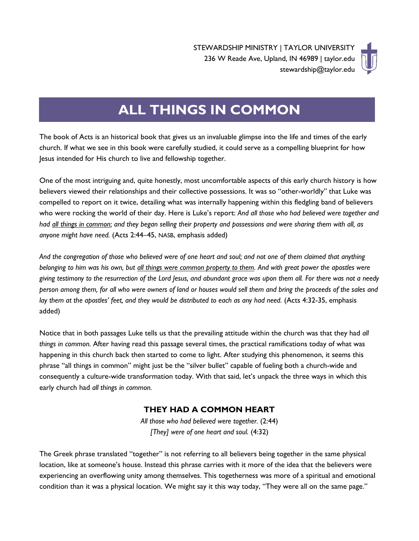

# **ALL THINGS IN COMMON**

The book of Acts is an historical book that gives us an invaluable glimpse into the life and times of the early church. If what we see in this book were carefully studied, it could serve as a compelling blueprint for how Jesus intended for His church to live and fellowship together.

One of the most intriguing and, quite honestly, most uncomfortable aspects of this early church history is how believers viewed their relationships and their collective possessions. It was so "other-worldly" that Luke was compelled to report on it twice, detailing what was internally happening within this fledgling band of believers who were rocking the world of their day. Here is Luke's report: *And all those who had believed were together and had all things in common; and they began selling their property and possessions and were sharing them with all, as anyone might have need.* (Acts 2:44–45, NASB, emphasis added)

*And the congregation of those who believed were of one heart and soul; and not one of them claimed that anything belonging to him was his own, but all things were common property to them. And with great power the apostles were giving testimony to the resurrection of the Lord Jesus, and abundant grace was upon them all. For there was not a needy person among them, for all who were owners of land or houses would sell them and bring the proceeds of the sales and lay them at the apostles' feet, and they would be distributed to each as any had need.* (Acts 4:32-35, emphasis added)

Notice that in both passages Luke tells us that the prevailing attitude within the church was that they had *all things in common.* After having read this passage several times, the practical ramifications today of what was happening in this church back then started to come to light. After studying this phenomenon, it seems this phrase "all things in common" might just be the "silver bullet" capable of fueling both a church-wide and consequently a culture-wide transformation today. With that said, let's unpack the three ways in which this early church had *all things in common.* 

## **THEY HAD A COMMON HEART**

*All those who had believed were together.* (2:44) *[They] were of one heart and soul.* (4:32)

The Greek phrase translated "together" is not referring to all believers being together in the same physical location, like at someone's house. Instead this phrase carries with it more of the idea that the believers were experiencing an overflowing unity among themselves. This togetherness was more of a spiritual and emotional condition than it was a physical location. We might say it this way today, "They were all on the same page."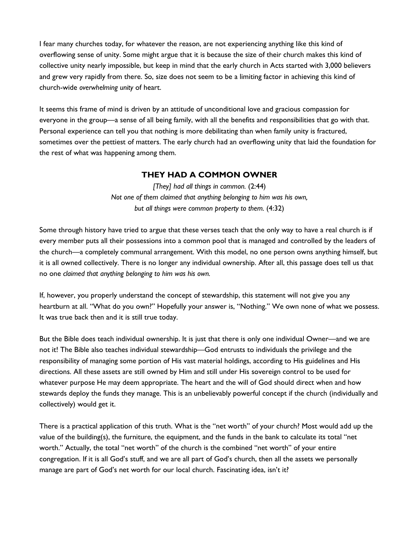I fear many churches today, for whatever the reason, are not experiencing anything like this kind of overflowing sense of unity. Some might argue that it is because the size of their church makes this kind of collective unity nearly impossible, but keep in mind that the early church in Acts started with 3,000 believers and grew very rapidly from there. So, size does not seem to be a limiting factor in achieving this kind of church-wide *overwhelming unity* of heart.

It seems this frame of mind is driven by an attitude of unconditional love and gracious compassion for everyone in the group—a sense of all being family, with all the benefits and responsibilities that go with that. Personal experience can tell you that nothing is more debilitating than when family unity is fractured, sometimes over the pettiest of matters. The early church had an overflowing unity that laid the foundation for the rest of what was happening among them.

#### **THEY HAD A COMMON OWNER**

*[They] had all things in common.* (2:44) *Not one of them claimed that anything belonging to him was his own, but all things were common property to them.* (4:32)

Some through history have tried to argue that these verses teach that the only way to have a real church is if every member puts all their possessions into a common pool that is managed and controlled by the leaders of the church—a completely communal arrangement. With this model, no one person owns anything himself, but it is all owned collectively. There is no longer any individual ownership. After all, this passage does tell us that no one *claimed that anything belonging to him was his own.*

If, however, you properly understand the concept of stewardship, this statement will not give you any heartburn at all. "What do you own?" Hopefully your answer is, "Nothing." We own none of what we possess. It was true back then and it is still true today.

But the Bible does teach individual ownership. It is just that there is only one individual Owner—and we are not it! The Bible also teaches individual stewardship—God entrusts to individuals the privilege and the responsibility of managing some portion of His vast material holdings, according to His guidelines and His directions. All these assets are still owned by Him and still under His sovereign control to be used for whatever purpose He may deem appropriate. The heart and the will of God should direct when and how stewards deploy the funds they manage. This is an unbelievably powerful concept if the church (individually and collectively) would get it.

There is a practical application of this truth. What is the "net worth" of your church? Most would add up the value of the building(s), the furniture, the equipment, and the funds in the bank to calculate its total "net worth." Actually, the total "net worth" of the church is the combined "net worth" of your entire congregation. If it is all God's stuff, and we are all part of God's church, then all the assets we personally manage are part of God's net worth for our local church. Fascinating idea, isn't it?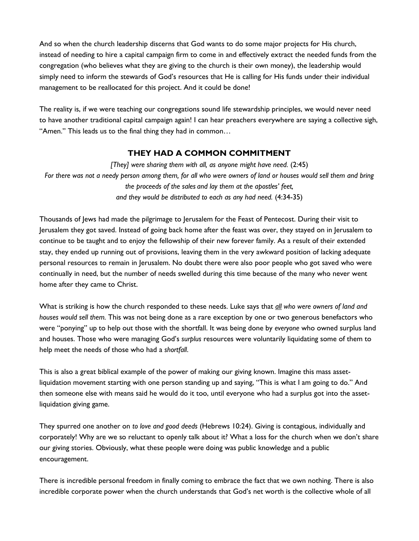And so when the church leadership discerns that God wants to do some major projects for His church, instead of needing to hire a capital campaign firm to come in and effectively extract the needed funds from the congregation (who believes what they are giving to the church is their own money), the leadership would simply need to inform the stewards of God's resources that He is calling for His funds under their individual management to be reallocated for this project. And it could be done!

The reality is, if we were teaching our congregations sound life stewardship principles, we would never need to have another traditional capital campaign again! I can hear preachers everywhere are saying a collective sigh, "Amen." This leads us to the final thing they had in common…

#### **THEY HAD A COMMON COMMITMENT**

*[They] were sharing them with all, as anyone might have need.* (2:45) For there was not a needy person among them, for all who were owners of land or houses would sell them and bring *the proceeds of the sales and lay them at the apostles' feet, and they would be distributed to each as any had need.* (4:34-35)

Thousands of Jews had made the pilgrimage to Jerusalem for the Feast of Pentecost. During their visit to Jerusalem they got saved. Instead of going back home after the feast was over, they stayed on in Jerusalem to continue to be taught and to enjoy the fellowship of their new forever family. As a result of their extended stay, they ended up running out of provisions, leaving them in the very awkward position of lacking adequate personal resources to remain in Jerusalem. No doubt there were also poor people who got saved who were continually in need, but the number of needs swelled during this time because of the many who never went home after they came to Christ.

What is striking is how the church responded to these needs. Luke says that *all who were owners of land and houses would sell them.* This was not being done as a rare exception by one or two generous benefactors who were "ponying" up to help out those with the shortfall. It was being done by *everyone* who owned surplus land and houses. Those who were managing God's *surplus* resources were voluntarily liquidating some of them to help meet the needs of those who had a *shortfall*.

This is also a great biblical example of the power of making our giving known. Imagine this mass assetliquidation movement starting with one person standing up and saying, "This is what I am going to do." And then someone else with means said he would do it too, until everyone who had a surplus got into the assetliquidation giving game.

They spurred one another on *to love and good deeds* (Hebrews 10:24). Giving is contagious, individually and corporately! Why are we so reluctant to openly talk about it? What a loss for the church when we don't share our giving stories. Obviously, what these people were doing was public knowledge and a public encouragement.

There is incredible personal freedom in finally coming to embrace the fact that we own nothing. There is also incredible corporate power when the church understands that God's net worth is the collective whole of all